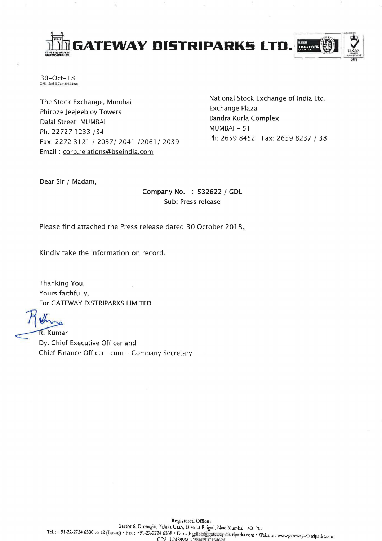

30-0ct-18  $Z \backslash S$ [, Ex $\backslash$ SE Corr 2018 doc  $x$ ]

The Stock Exchange, Mumbai Phiroze Jeejeebjoy Towers Dalal Street MUMBAI Ph: 22727 1233 /34 Fax: 2272 3121/2037/2041/2061/2039 Email: corp.relations@bseindia.com

National Stock Exchange of India Ltd. Exchange Plaza Bandra Kurla Complex MUMBAI - 51 Ph: 2659 8452 Fax: 2659 8237 / 38

Dear Sir / Madam,

# Company No. : 532622 / GDL Sub: Press release

Please find attached the Press release dated 30 October 2018.

Kindly take the information on record.

Thanking You, Yours faithfully, For GATEWAY DISTRIPARKS LIMITED

R. Kumar

Dy. Chief Executive Officer and Chief Finance Officer -cum - Company Secretary